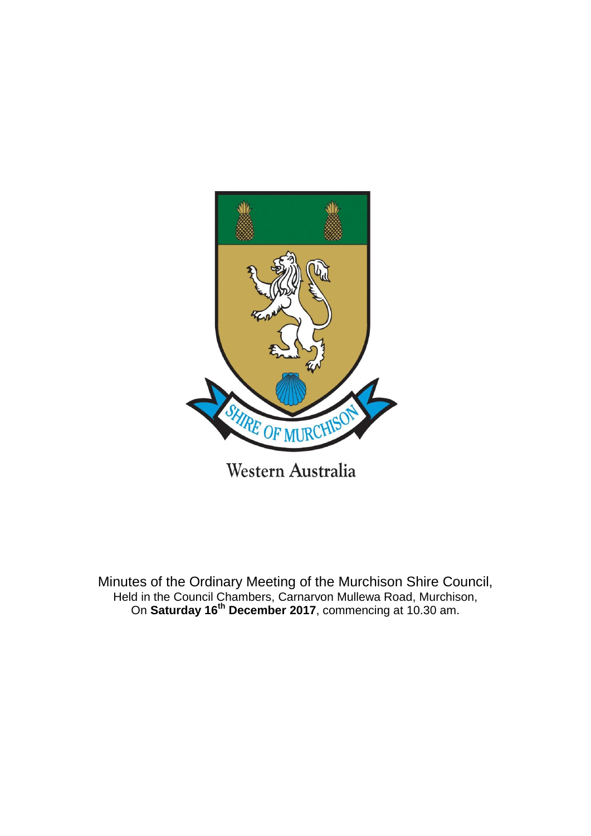

Minutes of the Ordinary Meeting of the Murchison Shire Council, Held in the Council Chambers, Carnarvon Mullewa Road, Murchison, On **Saturday 16th December 2017**, commencing at 10.30 am.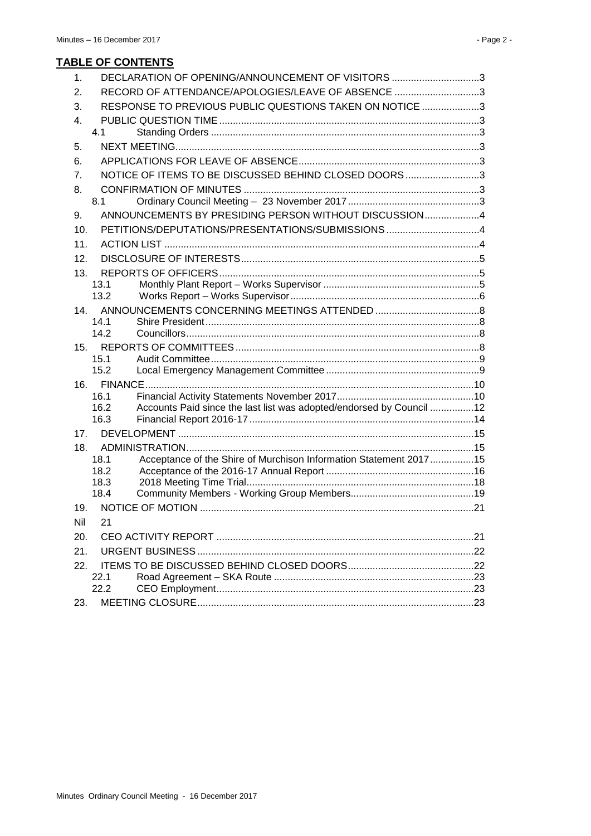| 1.  | DECLARATION OF OPENING/ANNOUNCEMENT OF VISITORS 3                                    |  |
|-----|--------------------------------------------------------------------------------------|--|
| 2.  | RECORD OF ATTENDANCE/APOLOGIES/LEAVE OF ABSENCE 3                                    |  |
| 3.  | RESPONSE TO PREVIOUS PUBLIC QUESTIONS TAKEN ON NOTICE 3                              |  |
| 4.  |                                                                                      |  |
|     | 4.1                                                                                  |  |
| 5.  |                                                                                      |  |
| 6.  |                                                                                      |  |
| 7.  | NOTICE OF ITEMS TO BE DISCUSSED BEHIND CLOSED DOORS3                                 |  |
| 8.  |                                                                                      |  |
|     | 8.1                                                                                  |  |
| 9.  | ANNOUNCEMENTS BY PRESIDING PERSON WITHOUT DISCUSSION4                                |  |
| 10. | PETITIONS/DEPUTATIONS/PRESENTATIONS/SUBMISSIONS 4                                    |  |
| 11. |                                                                                      |  |
| 12. |                                                                                      |  |
| 13. |                                                                                      |  |
|     | 13.1                                                                                 |  |
|     | 13.2                                                                                 |  |
| 14. | 14.1                                                                                 |  |
|     | 14.2                                                                                 |  |
|     |                                                                                      |  |
|     | 15.1                                                                                 |  |
|     | 15.2                                                                                 |  |
|     |                                                                                      |  |
|     | 16.1                                                                                 |  |
|     | Accounts Paid since the last list was adopted/endorsed by Council 12<br>16.2<br>16.3 |  |
| 17. |                                                                                      |  |
| 18. |                                                                                      |  |
|     | Acceptance of the Shire of Murchison Information Statement 201715<br>18.1            |  |
|     | 18.2                                                                                 |  |
|     | 18.3                                                                                 |  |
|     | 18.4                                                                                 |  |
| 19. |                                                                                      |  |
| Nil | 21                                                                                   |  |
| 20. |                                                                                      |  |
| 21. |                                                                                      |  |
| 22. |                                                                                      |  |
|     | 22.1<br>22.2                                                                         |  |
|     |                                                                                      |  |
| 23. |                                                                                      |  |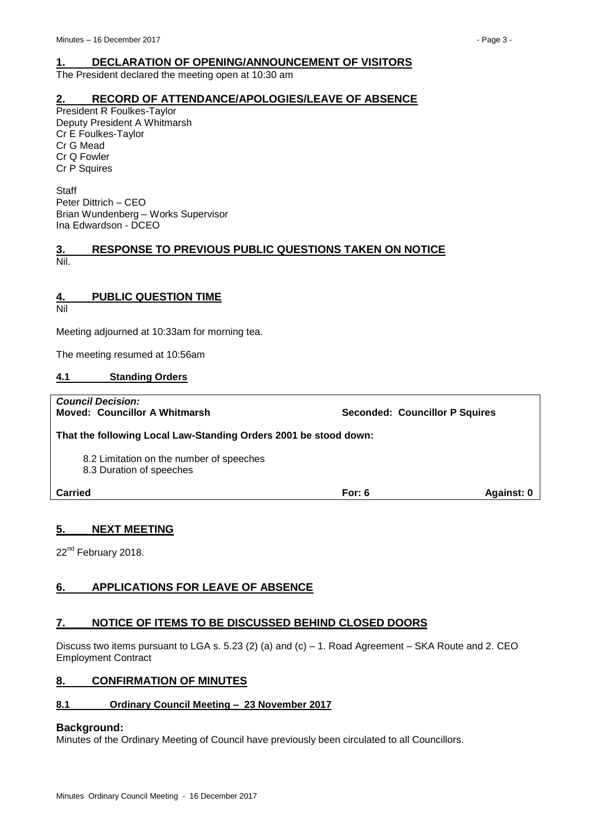# <span id="page-2-0"></span>**1. DECLARATION OF OPENING/ANNOUNCEMENT OF VISITORS**

The President declared the meeting open at 10:30 am

# <span id="page-2-1"></span>**2. RECORD OF ATTENDANCE/APOLOGIES/LEAVE OF ABSENCE**

President R Foulkes-Taylor Deputy President A Whitmarsh Cr E Foulkes-Taylor Cr G Mead Cr Q Fowler Cr P Squires

**Staff** Peter Dittrich – CEO Brian Wundenberg – Works Supervisor Ina Edwardson - DCEO

# <span id="page-2-2"></span>**3. RESPONSE TO PREVIOUS PUBLIC QUESTIONS TAKEN ON NOTICE** Nil.

# <span id="page-2-3"></span>**4. PUBLIC QUESTION TIME**

Nil

Meeting adjourned at 10:33am for morning tea.

The meeting resumed at 10:56am

# <span id="page-2-4"></span>**4.1 Standing Orders**

| <b>Council Decision:</b><br><b>Moved: Councillor A Whitmarsh</b>     | <b>Seconded: Councillor P Squires</b> |                   |
|----------------------------------------------------------------------|---------------------------------------|-------------------|
| That the following Local Law-Standing Orders 2001 be stood down:     |                                       |                   |
| 8.2 Limitation on the number of speeches<br>8.3 Duration of speeches |                                       |                   |
| <b>Carried</b>                                                       | For: $6$                              | <b>Against: 0</b> |

# <span id="page-2-5"></span>**5. NEXT MEETING**

22<sup>nd</sup> February 2018.

# <span id="page-2-6"></span>**6. APPLICATIONS FOR LEAVE OF ABSENCE**

# <span id="page-2-7"></span>**7. NOTICE OF ITEMS TO BE DISCUSSED BEHIND CLOSED DOORS**

Discuss two items pursuant to LGA s. 5.23 (2) (a) and (c) – 1. Road Agreement – SKA Route and 2. CEO Employment Contract

# <span id="page-2-8"></span>**8. CONFIRMATION OF MINUTES**

# <span id="page-2-9"></span>**8.1 Ordinary Council Meeting – 23 November 2017**

# **Background:**

Minutes of the Ordinary Meeting of Council have previously been circulated to all Councillors.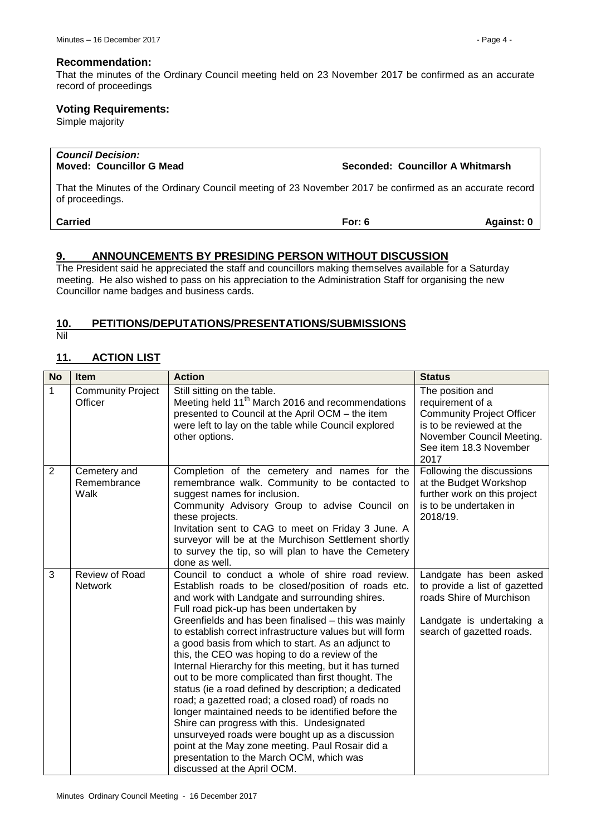#### **Recommendation:**

That the minutes of the Ordinary Council meeting held on 23 November 2017 be confirmed as an accurate record of proceedings

# **Voting Requirements:**

Simple majority

| <b>Council Decision:</b><br><b>Moved: Councillor G Mead</b>                                                                | Seconded: Councillor A Whitmarsh |            |
|----------------------------------------------------------------------------------------------------------------------------|----------------------------------|------------|
| That the Minutes of the Ordinary Council meeting of 23 November 2017 be confirmed as an accurate record<br>of proceedings. |                                  |            |
| <b>Carried</b>                                                                                                             | For: $6$                         | Against: 0 |

# <span id="page-3-0"></span>**9. ANNOUNCEMENTS BY PRESIDING PERSON WITHOUT DISCUSSION**

The President said he appreciated the staff and councillors making themselves available for a Saturday meeting. He also wished to pass on his appreciation to the Administration Staff for organising the new Councillor name badges and business cards.

# <span id="page-3-1"></span>**10. PETITIONS/DEPUTATIONS/PRESENTATIONS/SUBMISSIONS**

Nil

# <span id="page-3-2"></span>**11. ACTION LIST**

| <b>No</b>      | <b>Item</b>                         | <b>Action</b>                                                                                                                                                                                                                                                                                                                                                                                                                                                                                                                                                                                                                                                                                                                                                                                                                                                                                                                                          | <b>Status</b>                                                                                                                                                       |
|----------------|-------------------------------------|--------------------------------------------------------------------------------------------------------------------------------------------------------------------------------------------------------------------------------------------------------------------------------------------------------------------------------------------------------------------------------------------------------------------------------------------------------------------------------------------------------------------------------------------------------------------------------------------------------------------------------------------------------------------------------------------------------------------------------------------------------------------------------------------------------------------------------------------------------------------------------------------------------------------------------------------------------|---------------------------------------------------------------------------------------------------------------------------------------------------------------------|
| 1              | <b>Community Project</b><br>Officer | Still sitting on the table.<br>Meeting held 11 <sup>th</sup> March 2016 and recommendations<br>presented to Council at the April OCM - the item<br>were left to lay on the table while Council explored<br>other options.                                                                                                                                                                                                                                                                                                                                                                                                                                                                                                                                                                                                                                                                                                                              | The position and<br>requirement of a<br><b>Community Project Officer</b><br>is to be reviewed at the<br>November Council Meeting.<br>See item 18.3 November<br>2017 |
| $\overline{2}$ | Cemetery and<br>Remembrance<br>Walk | Completion of the cemetery and names for the<br>remembrance walk. Community to be contacted to<br>suggest names for inclusion.<br>Community Advisory Group to advise Council on<br>these projects.<br>Invitation sent to CAG to meet on Friday 3 June. A<br>surveyor will be at the Murchison Settlement shortly<br>to survey the tip, so will plan to have the Cemetery<br>done as well.                                                                                                                                                                                                                                                                                                                                                                                                                                                                                                                                                              | Following the discussions<br>at the Budget Workshop<br>further work on this project<br>is to be undertaken in<br>2018/19.                                           |
| 3              | Review of Road<br><b>Network</b>    | Council to conduct a whole of shire road review.<br>Establish roads to be closed/position of roads etc.<br>and work with Landgate and surrounding shires.<br>Full road pick-up has been undertaken by<br>Greenfields and has been finalised - this was mainly<br>to establish correct infrastructure values but will form<br>a good basis from which to start. As an adjunct to<br>this, the CEO was hoping to do a review of the<br>Internal Hierarchy for this meeting, but it has turned<br>out to be more complicated than first thought. The<br>status (ie a road defined by description; a dedicated<br>road; a gazetted road; a closed road) of roads no<br>longer maintained needs to be identified before the<br>Shire can progress with this. Undesignated<br>unsurveyed roads were bought up as a discussion<br>point at the May zone meeting. Paul Rosair did a<br>presentation to the March OCM, which was<br>discussed at the April OCM. | Landgate has been asked<br>to provide a list of gazetted<br>roads Shire of Murchison<br>Landgate is undertaking a<br>search of gazetted roads.                      |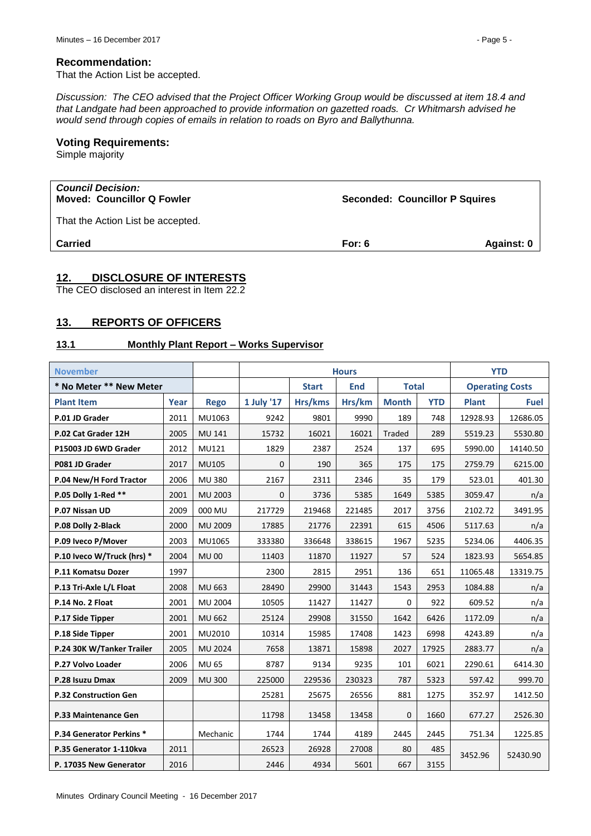#### **Recommendation:**

That the Action List be accepted.

*Discussion: The CEO advised that the Project Officer Working Group would be discussed at item 18.4 and that Landgate had been approached to provide information on gazetted roads. Cr Whitmarsh advised he would send through copies of emails in relation to roads on Byro and Ballythunna.*

# **Voting Requirements:**

Simple majority

| <b>Council Decision:</b><br><b>Moved: Councillor Q Fowler</b> | <b>Seconded: Councillor P Squires</b> |            |
|---------------------------------------------------------------|---------------------------------------|------------|
| That the Action List be accepted.                             |                                       |            |
| <b>Carried</b>                                                | For: $6$                              | Against: 0 |

# <span id="page-4-0"></span>**12. DISCLOSURE OF INTERESTS**

The CEO disclosed an interest in Item 22.2

# <span id="page-4-1"></span>**13. REPORTS OF OFFICERS**

# <span id="page-4-2"></span>**13.1 Monthly Plant Report – Works Supervisor**

| <b>November</b>              |      | <b>Hours</b>  |              |            |              |              | <b>YTD</b> |                        |             |  |
|------------------------------|------|---------------|--------------|------------|--------------|--------------|------------|------------------------|-------------|--|
| * No Meter ** New Meter      |      |               | <b>Start</b> | <b>End</b> | <b>Total</b> |              |            | <b>Operating Costs</b> |             |  |
| <b>Plant Item</b>            | Year | <b>Rego</b>   | 1 July '17   | Hrs/kms    | Hrs/km       | <b>Month</b> | <b>YTD</b> | <b>Plant</b>           | <b>Fuel</b> |  |
| P.01 JD Grader               | 2011 | MU1063        | 9242         | 9801       | 9990         | 189          | 748        | 12928.93               | 12686.05    |  |
| P.02 Cat Grader 12H          | 2005 | MU 141        | 15732        | 16021      | 16021        | Traded       | 289        | 5519.23                | 5530.80     |  |
| P15003 JD 6WD Grader         | 2012 | MU121         | 1829         | 2387       | 2524         | 137          | 695        | 5990.00                | 14140.50    |  |
| P081 JD Grader               | 2017 | <b>MU105</b>  | $\mathbf{0}$ | 190        | 365          | 175          | 175        | 2759.79                | 6215.00     |  |
| P.04 New/H Ford Tractor      | 2006 | <b>MU 380</b> | 2167         | 2311       | 2346         | 35           | 179        | 523.01                 | 401.30      |  |
| P.05 Dolly 1-Red **          | 2001 | MU 2003       | $\mathbf{0}$ | 3736       | 5385         | 1649         | 5385       | 3059.47                | n/a         |  |
| P.07 Nissan UD               | 2009 | 000 MU        | 217729       | 219468     | 221485       | 2017         | 3756       | 2102.72                | 3491.95     |  |
| P.08 Dolly 2-Black           | 2000 | MU 2009       | 17885        | 21776      | 22391        | 615          | 4506       | 5117.63                | n/a         |  |
| P.09 Iveco P/Mover           | 2003 | MU1065        | 333380       | 336648     | 338615       | 1967         | 5235       | 5234.06                | 4406.35     |  |
| P.10 Iveco W/Truck (hrs) *   | 2004 | <b>MU00</b>   | 11403        | 11870      | 11927        | 57           | 524        | 1823.93                | 5654.85     |  |
| P.11 Komatsu Dozer           | 1997 |               | 2300         | 2815       | 2951         | 136          | 651        | 11065.48               | 13319.75    |  |
| P.13 Tri-Axle L/L Float      | 2008 | MU 663        | 28490        | 29900      | 31443        | 1543         | 2953       | 1084.88                | n/a         |  |
| P.14 No. 2 Float             | 2001 | MU 2004       | 10505        | 11427      | 11427        | 0            | 922        | 609.52                 | n/a         |  |
| P.17 Side Tipper             | 2001 | <b>MU 662</b> | 25124        | 29908      | 31550        | 1642         | 6426       | 1172.09                | n/a         |  |
| P.18 Side Tipper             | 2001 | MU2010        | 10314        | 15985      | 17408        | 1423         | 6998       | 4243.89                | n/a         |  |
| P.24 30K W/Tanker Trailer    | 2005 | MU 2024       | 7658         | 13871      | 15898        | 2027         | 17925      | 2883.77                | n/a         |  |
| P.27 Volvo Loader            | 2006 | <b>MU 65</b>  | 8787         | 9134       | 9235         | 101          | 6021       | 2290.61                | 6414.30     |  |
| P.28 Isuzu Dmax              | 2009 | <b>MU300</b>  | 225000       | 229536     | 230323       | 787          | 5323       | 597.42                 | 999.70      |  |
| <b>P.32 Construction Gen</b> |      |               | 25281        | 25675      | 26556        | 881          | 1275       | 352.97                 | 1412.50     |  |
| P.33 Maintenance Gen         |      |               | 11798        | 13458      | 13458        | $\Omega$     | 1660       | 677.27                 | 2526.30     |  |
| P.34 Generator Perkins *     |      | Mechanic      | 1744         | 1744       | 4189         | 2445         | 2445       | 751.34                 | 1225.85     |  |
| P.35 Generator 1-110kva      | 2011 |               | 26523        | 26928      | 27008        | 80           | 485        | 3452.96                | 52430.90    |  |
| P. 17035 New Generator       | 2016 |               | 2446         | 4934       | 5601         | 667          | 3155       |                        |             |  |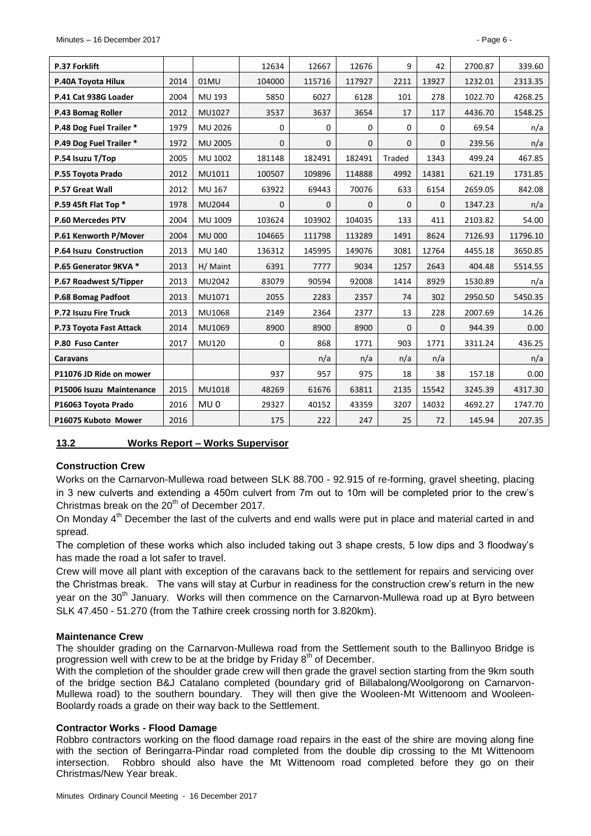| P.37 Forklift            |      |                 | 12634        | 12667        | 12676        | 9             | 42           | 2700.87 | 339.60   |
|--------------------------|------|-----------------|--------------|--------------|--------------|---------------|--------------|---------|----------|
| P.40A Toyota Hilux       | 2014 | 01MU            | 104000       | 115716       | 117927       | 2211          | 13927        | 1232.01 | 2313.35  |
| P.41 Cat 938G Loader     | 2004 | MU 193          | 5850         | 6027         | 6128         | 101           | 278          | 1022.70 | 4268.25  |
| P.43 Bomag Roller        | 2012 | MU1027          | 3537         | 3637         | 3654         | 17            | 117          | 4436.70 | 1548.25  |
| P.48 Dog Fuel Trailer *  | 1979 | MU 2026         | $\mathbf 0$  | $\mathbf 0$  | 0            | $\mathbf 0$   | $\mathbf 0$  | 69.54   | n/a      |
| P.49 Dog Fuel Trailer *  | 1972 | MU 2005         | $\mathbf{0}$ | $\mathbf{0}$ | 0            | $\mathbf{0}$  | $\mathbf{0}$ | 239.56  | n/a      |
| P.54 Isuzu T/Top         | 2005 | MU 1002         | 181148       | 182491       | 182491       | <b>Traded</b> | 1343         | 499.24  | 467.85   |
| P.55 Toyota Prado        | 2012 | MU1011          | 100507       | 109896       | 114888       | 4992          | 14381        | 621.19  | 1731.85  |
| P.57 Great Wall          | 2012 | MU 167          | 63922        | 69443        | 70076        | 633           | 6154         | 2659.05 | 842.08   |
| P.59 45ft Flat Top *     | 1978 | MU2044          | 0            | $\mathbf{0}$ | $\mathbf{0}$ | $\mathbf{0}$  | $\mathbf{0}$ | 1347.23 | n/a      |
| P.60 Mercedes PTV        | 2004 | MU 1009         | 103624       | 103902       | 104035       | 133           | 411          | 2103.82 | 54.00    |
| P.61 Kenworth P/Mover    | 2004 | <b>MU 000</b>   | 104665       | 111798       | 113289       | 1491          | 8624         | 7126.93 | 11796.10 |
| P.64 Isuzu Construction  | 2013 | <b>MU 140</b>   | 136312       | 145995       | 149076       | 3081          | 12764        | 4455.18 | 3650.85  |
| P.65 Generator 9KVA *    | 2013 | H/ Maint        | 6391         | 7777         | 9034         | 1257          | 2643         | 404.48  | 5514.55  |
| P.67 Roadwest S/Tipper   | 2013 | MU2042          | 83079        | 90594        | 92008        | 1414          | 8929         | 1530.89 | n/a      |
| P.68 Bomag Padfoot       | 2013 | MU1071          | 2055         | 2283         | 2357         | 74            | 302          | 2950.50 | 5450.35  |
| P.72 Isuzu Fire Truck    | 2013 | MU1068          | 2149         | 2364         | 2377         | 13            | 228          | 2007.69 | 14.26    |
| P.73 Toyota Fast Attack  | 2014 | MU1069          | 8900         | 8900         | 8900         | $\mathbf{0}$  | $\mathbf{0}$ | 944.39  | 0.00     |
| P.80 Fuso Canter         | 2017 | <b>MU120</b>    | $\mathbf 0$  | 868          | 1771         | 903           | 1771         | 3311.24 | 436.25   |
| <b>Caravans</b>          |      |                 |              | n/a          | n/a          | n/a           | n/a          |         | n/a      |
| P11076 JD Ride on mower  |      |                 | 937          | 957          | 975          | 18            | 38           | 157.18  | 0.00     |
| P15006 Isuzu Maintenance | 2015 | MU1018          | 48269        | 61676        | 63811        | 2135          | 15542        | 3245.39 | 4317.30  |
| P16063 Toyota Prado      | 2016 | MU <sub>0</sub> | 29327        | 40152        | 43359        | 3207          | 14032        | 4692.27 | 1747.70  |
| P16075 Kuboto Mower      | 2016 |                 | 175          | 222          | 247          | 25            | 72           | 145.94  | 207.35   |

#### <span id="page-5-0"></span>**13.2 Works Report – Works Supervisor**

#### **Construction Crew**

Works on the Carnarvon-Mullewa road between SLK 88.700 - 92.915 of re-forming, gravel sheeting, placing in 3 new culverts and extending a 450m culvert from 7m out to 10m will be completed prior to the crew's Christmas break on the 20<sup>th</sup> of December 2017.

On Monday 4<sup>th</sup> December the last of the culverts and end walls were put in place and material carted in and spread.

The completion of these works which also included taking out 3 shape crests, 5 low dips and 3 floodway's has made the road a lot safer to travel.

Crew will move all plant with exception of the caravans back to the settlement for repairs and servicing over the Christmas break. The vans will stay at Curbur in readiness for the construction crew's return in the new year on the 30<sup>th</sup> January. Works will then commence on the Carnarvon-Mullewa road up at Byro between SLK 47.450 - 51.270 (from the Tathire creek crossing north for 3.820km).

#### **Maintenance Crew**

The shoulder grading on the Carnarvon-Mullewa road from the Settlement south to the Ballinyoo Bridge is progression well with crew to be at the bridge by Friday  $8<sup>th</sup>$  of December.

With the completion of the shoulder grade crew will then grade the gravel section starting from the 9km south of the bridge section B&J Catalano completed (boundary grid of Billabalong/Woolgorong on Carnarvon-Mullewa road) to the southern boundary. They will then give the Wooleen-Mt Wittenoom and Wooleen-Boolardy roads a grade on their way back to the Settlement.

#### **Contractor Works - Flood Damage**

Robbro contractors working on the flood damage road repairs in the east of the shire are moving along fine with the section of Beringarra-Pindar road completed from the double dip crossing to the Mt Wittenoom intersection. Robbro should also have the Mt Wittenoom road completed before they go on their Christmas/New Year break.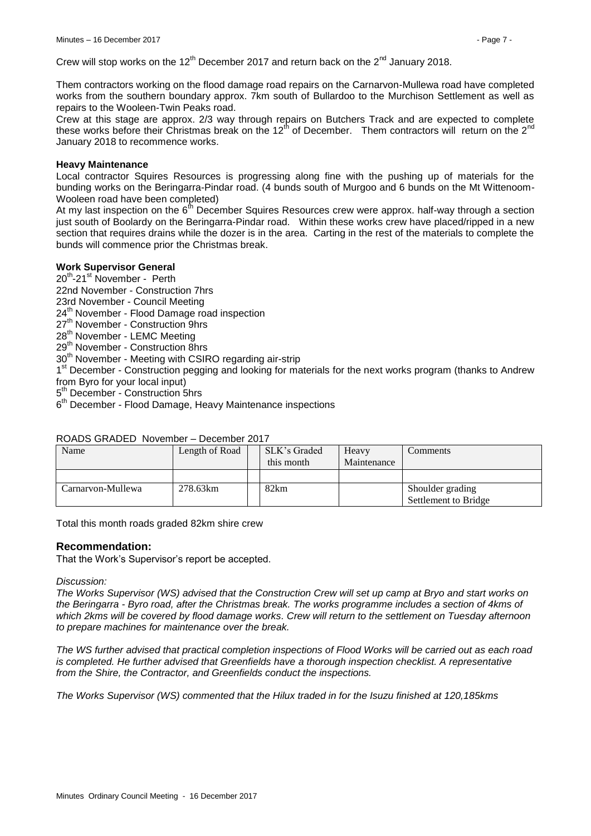Them contractors working on the flood damage road repairs on the Carnarvon-Mullewa road have completed works from the southern boundary approx. 7km south of Bullardoo to the Murchison Settlement as well as repairs to the Wooleen-Twin Peaks road.

Crew at this stage are approx. 2/3 way through repairs on Butchers Track and are expected to complete these works before their Christmas break on the 12<sup>th</sup> of December. Them contractors will return on the 2<sup>nd</sup> January 2018 to recommence works.

# **Heavy Maintenance**

Local contractor Squires Resources is progressing along fine with the pushing up of materials for the bunding works on the Beringarra-Pindar road. (4 bunds south of Murgoo and 6 bunds on the Mt Wittenoom-Wooleen road have been completed)

At my last inspection on the  $6<sup>th</sup>$  December Squires Resources crew were approx. half-way through a section just south of Boolardy on the Beringarra-Pindar road. Within these works crew have placed/ripped in a new section that requires drains while the dozer is in the area. Carting in the rest of the materials to complete the bunds will commence prior the Christmas break.

# **Work Supervisor General**

20<sup>th</sup>-21<sup>st</sup> November - Perth

22nd November - Construction 7hrs

- 23rd November Council Meeting
- 24<sup>th</sup> November Flood Damage road inspection
- 27<sup>th</sup> November Construction 9hrs
- 28<sup>th</sup> November LEMC Meeting
- 29<sup>th</sup> November Construction 8hrs

30<sup>th</sup> November - Meeting with CSIRO regarding air-strip

1<sup>st</sup> December - Construction pegging and looking for materials for the next works program (thanks to Andrew from Byro for your local input)

5<sup>th</sup> December - Construction 5hrs

6<sup>th</sup> December - Flood Damage, Heavy Maintenance inspections

# ROADS GRADED November – December 2017

| Name              | Length of Road | SLK's Graded<br>this month | Heavy<br>Maintenance | Comments                                 |
|-------------------|----------------|----------------------------|----------------------|------------------------------------------|
|                   |                |                            |                      |                                          |
| Carnarvon-Mullewa | 278.63km       | 82km                       |                      | Shoulder grading<br>Settlement to Bridge |

Total this month roads graded 82km shire crew

# **Recommendation:**

That the Work's Supervisor's report be accepted.

#### *Discussion:*

*The Works Supervisor (WS) advised that the Construction Crew will set up camp at Bryo and start works on the Beringarra - Byro road, after the Christmas break. The works programme includes a section of 4kms of which 2kms will be covered by flood damage works. Crew will return to the settlement on Tuesday afternoon to prepare machines for maintenance over the break.*

*The WS further advised that practical completion inspections of Flood Works will be carried out as each road is completed. He further advised that Greenfields have a thorough inspection checklist. A representative from the Shire, the Contractor, and Greenfields conduct the inspections.*

*The Works Supervisor (WS) commented that the Hilux traded in for the Isuzu finished at 120,185kms*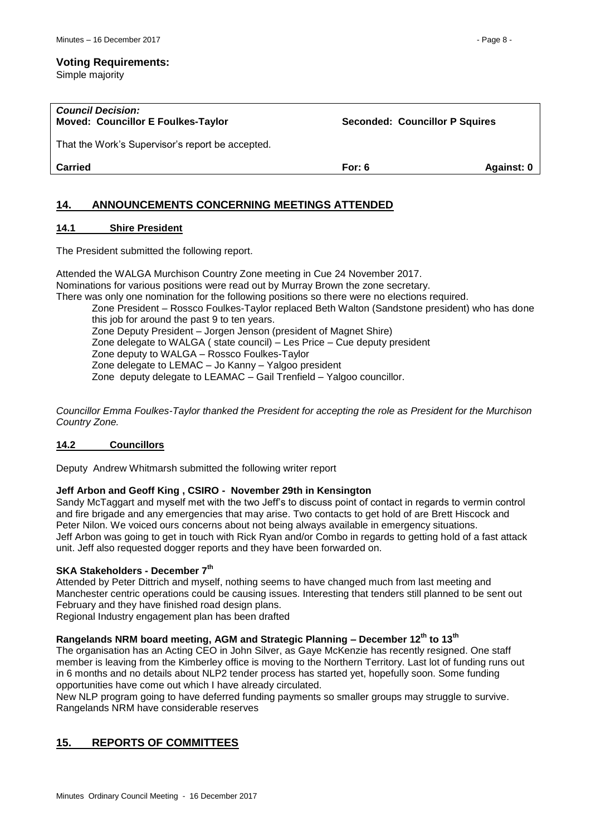Simple majority

| <b>Council Decision:</b><br><b>Moved: Councillor E Foulkes-Taylor</b> | <b>Seconded: Councillor P Squires</b> |            |
|-----------------------------------------------------------------------|---------------------------------------|------------|
| That the Work's Supervisor's report be accepted.                      |                                       |            |
| Carried                                                               | For: $6$                              | Against: 0 |
|                                                                       |                                       |            |

# <span id="page-7-0"></span>**14. ANNOUNCEMENTS CONCERNING MEETINGS ATTENDED**

# <span id="page-7-1"></span>**14.1 Shire President**

The President submitted the following report.

Attended the WALGA Murchison Country Zone meeting in Cue 24 November 2017. Nominations for various positions were read out by Murray Brown the zone secretary. There was only one nomination for the following positions so there were no elections required. Zone President – Rossco Foulkes-Taylor replaced Beth Walton (Sandstone president) who has done this job for around the past 9 to ten years. Zone Deputy President – Jorgen Jenson (president of Magnet Shire) Zone delegate to WALGA ( state council) – Les Price – Cue deputy president Zone deputy to WALGA – Rossco Foulkes-Taylor Zone delegate to LEMAC – Jo Kanny – Yalgoo president Zone deputy delegate to LEAMAC – Gail Trenfield – Yalgoo councillor.

*Councillor Emma Foulkes-Taylor thanked the President for accepting the role as President for the Murchison Country Zone.*

# <span id="page-7-2"></span>**14.2 Councillors**

Deputy Andrew Whitmarsh submitted the following writer report

# **Jeff Arbon and Geoff King , CSIRO - November 29th in Kensington**

Sandy McTaggart and myself met with the two Jeff's to discuss point of contact in regards to vermin control and fire brigade and any emergencies that may arise. Two contacts to get hold of are Brett Hiscock and Peter Nilon. We voiced ours concerns about not being always available in emergency situations. Jeff Arbon was going to get in touch with Rick Ryan and/or Combo in regards to getting hold of a fast attack unit. Jeff also requested dogger reports and they have been forwarded on.

# **SKA Stakeholders - December 7th**

Attended by Peter Dittrich and myself, nothing seems to have changed much from last meeting and Manchester centric operations could be causing issues. Interesting that tenders still planned to be sent out February and they have finished road design plans.

Regional Industry engagement plan has been drafted

# **Rangelands NRM board meeting, AGM and Strategic Planning – December 12th to 13 th**

The organisation has an Acting CEO in John Silver, as Gaye McKenzie has recently resigned. One staff member is leaving from the Kimberley office is moving to the Northern Territory. Last lot of funding runs out in 6 months and no details about NLP2 tender process has started yet, hopefully soon. Some funding opportunities have come out which I have already circulated.

New NLP program going to have deferred funding payments so smaller groups may struggle to survive. Rangelands NRM have considerable reserves

# <span id="page-7-3"></span>**15. REPORTS OF COMMITTEES**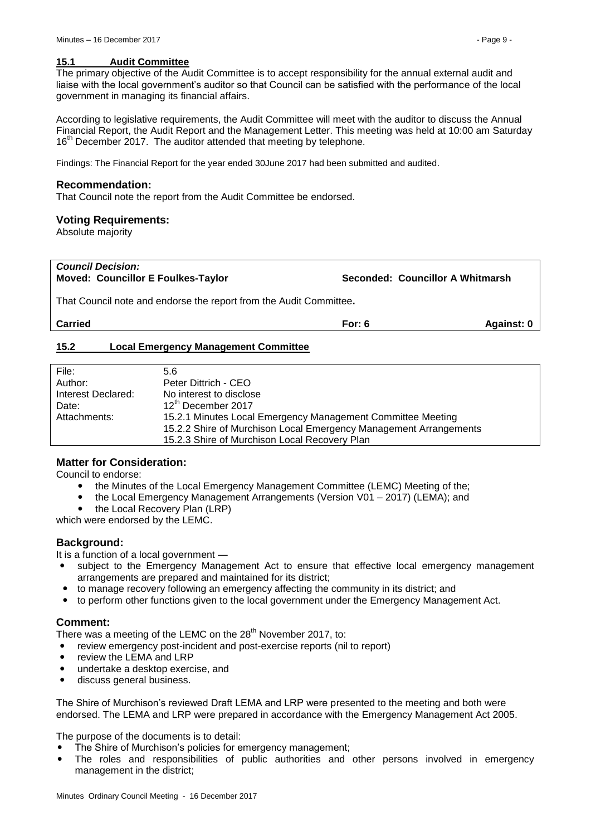#### <span id="page-8-0"></span>**15.1 Audit Committee**

The primary objective of the Audit Committee is to accept responsibility for the annual external audit and liaise with the local government's auditor so that Council can be satisfied with the performance of the local government in managing its financial affairs.

According to legislative requirements, the Audit Committee will meet with the auditor to discuss the Annual Financial Report, the Audit Report and the Management Letter. This meeting was held at 10:00 am Saturday 16<sup>th</sup> December 2017. The auditor attended that meeting by telephone.

Findings: The Financial Report for the year ended 30June 2017 had been submitted and audited.

#### **Recommendation:**

That Council note the report from the Audit Committee be endorsed.

#### **Voting Requirements:**

Absolute majority

#### *Council Decision:* **Moved: Councillor E Foulkes-Taylor Seconded: Councillor A Whitmarsh**

That Council note and endorse the report from the Audit Committee**.**

**Carried For: 6 Against: 0**

### <span id="page-8-1"></span>**15.2 Local Emergency Management Committee**

| File:              | 5.6                                                               |
|--------------------|-------------------------------------------------------------------|
| Author:            | Peter Dittrich - CEO                                              |
| Interest Declared: | No interest to disclose                                           |
| Date:              | 12th December 2017                                                |
| Attachments:       | 15.2.1 Minutes Local Emergency Management Committee Meeting       |
|                    | 15.2.2 Shire of Murchison Local Emergency Management Arrangements |
|                    | 15.2.3 Shire of Murchison Local Recovery Plan                     |

# **Matter for Consideration:**

Council to endorse:

- the Minutes of the Local Emergency Management Committee (LEMC) Meeting of the;
- the Local Emergency Management Arrangements (Version V01 2017) (LEMA); and
- the Local Recovery Plan (LRP)

which were endorsed by the LEMC.

#### **Background:**

It is a function of a local government —

- subject to the Emergency Management Act to ensure that effective local emergency management arrangements are prepared and maintained for its district;
- to manage recovery following an emergency affecting the community in its district; and
- to perform other functions given to the local government under the Emergency Management Act.

#### **Comment:**

There was a meeting of the LEMC on the  $28<sup>th</sup>$  November 2017, to:

- review emergency post-incident and post-exercise reports (nil to report)
- review the LEMA and LRP
- undertake a desktop exercise, and
- discuss general business.

The Shire of Murchison's reviewed Draft LEMA and LRP were presented to the meeting and both were endorsed. The LEMA and LRP were prepared in accordance with the Emergency Management Act 2005.

The purpose of the documents is to detail:

- The Shire of Murchison's policies for emergency management;
- The roles and responsibilities of public authorities and other persons involved in emergency management in the district;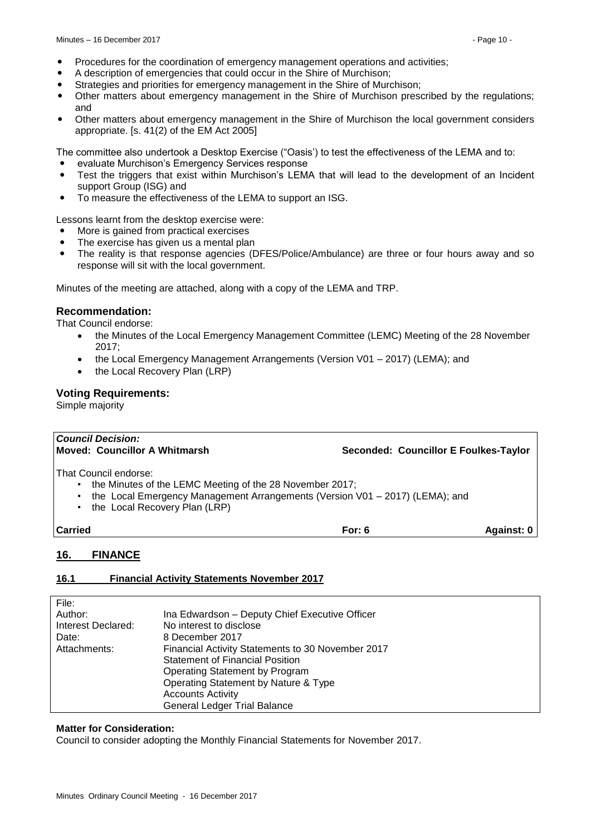- Procedures for the coordination of emergency management operations and activities;
- A description of emergencies that could occur in the Shire of Murchison;
- Strategies and priorities for emergency management in the Shire of Murchison;
- Other matters about emergency management in the Shire of Murchison prescribed by the regulations; and
- Other matters about emergency management in the Shire of Murchison the local government considers appropriate. [s. 41(2) of the EM Act 2005]

The committee also undertook a Desktop Exercise ("Oasis') to test the effectiveness of the LEMA and to:

- evaluate Murchison's Emergency Services response
- Test the triggers that exist within Murchison's LEMA that will lead to the development of an Incident support Group (ISG) and
- To measure the effectiveness of the LEMA to support an ISG.

Lessons learnt from the desktop exercise were:

- More is gained from practical exercises
- The exercise has given us a mental plan
- The reality is that response agencies (DFES/Police/Ambulance) are three or four hours away and so response will sit with the local government.

Minutes of the meeting are attached, along with a copy of the LEMA and TRP.

# **Recommendation:**

That Council endorse:

- the Minutes of the Local Emergency Management Committee (LEMC) Meeting of the 28 November 2017;
- the Local Emergency Management Arrangements (Version V01 2017) (LEMA); and
- the Local Recovery Plan (LRP)

# **Voting Requirements:**

Simple majority

| <b>Council Decision:</b><br>Moved: Councillor A Whitmarsh                                                                                                                                                         |          | Seconded: Councillor E Foulkes-Taylor |
|-------------------------------------------------------------------------------------------------------------------------------------------------------------------------------------------------------------------|----------|---------------------------------------|
| That Council endorse:<br>the Minutes of the LEMC Meeting of the 28 November 2017;<br>٠<br>the Local Emergency Management Arrangements (Version V01 - 2017) (LEMA); and<br>٠<br>the Local Recovery Plan (LRP)<br>٠ |          |                                       |
| <b>Carried</b>                                                                                                                                                                                                    | For: $6$ | Against: 0                            |
| 16.<br><b>FINANCE</b>                                                                                                                                                                                             |          |                                       |

# <span id="page-9-1"></span><span id="page-9-0"></span>**16.1 Financial Activity Statements November 2017**

| File:              |                                                   |
|--------------------|---------------------------------------------------|
| Author:            | Ina Edwardson - Deputy Chief Executive Officer    |
| Interest Declared: | No interest to disclose                           |
| Date:              | 8 December 2017                                   |
| Attachments:       | Financial Activity Statements to 30 November 2017 |
|                    | <b>Statement of Financial Position</b>            |
|                    | Operating Statement by Program                    |
|                    | Operating Statement by Nature & Type              |
|                    | <b>Accounts Activity</b>                          |
|                    | <b>General Ledger Trial Balance</b>               |

# **Matter for Consideration:**

Council to consider adopting the Monthly Financial Statements for November 2017.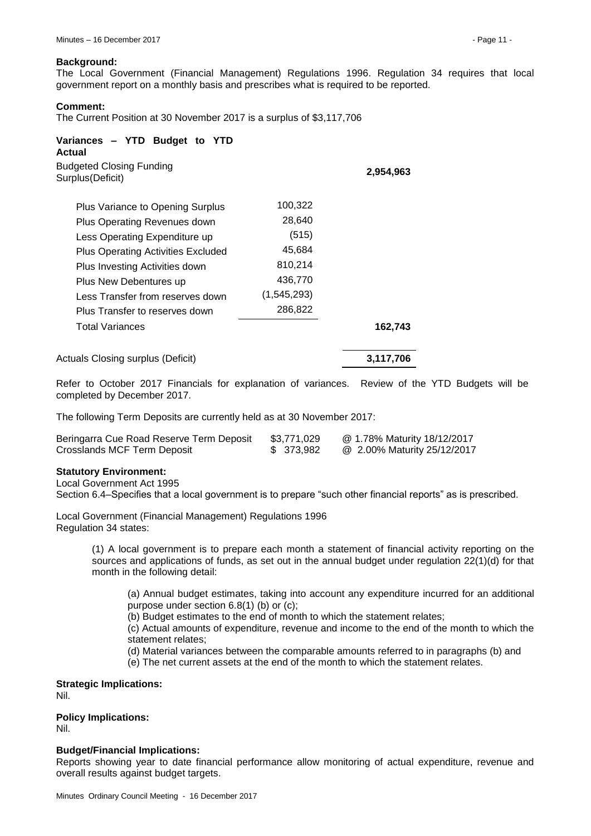#### **Background:**

The Local Government (Financial Management) Regulations 1996. Regulation 34 requires that local government report on a monthly basis and prescribes what is required to be reported.

#### **Comment:**

The Current Position at 30 November 2017 is a surplus of \$3,117,706

| Variances - YTD Budget to YTD<br>Actual<br><b>Budgeted Closing Funding</b><br>Surplus (Deficit) |             | 2,954,963 |
|-------------------------------------------------------------------------------------------------|-------------|-----------|
| Plus Variance to Opening Surplus                                                                | 100,322     |           |
| Plus Operating Revenues down                                                                    | 28,640      |           |
| Less Operating Expenditure up                                                                   | (515)       |           |
| <b>Plus Operating Activities Excluded</b>                                                       | 45,684      |           |
| Plus Investing Activities down                                                                  | 810,214     |           |
| Plus New Debentures up                                                                          | 436,770     |           |
| Less Transfer from reserves down                                                                | (1,545,293) |           |
| Plus Transfer to reserves down                                                                  | 286,822     |           |
| <b>Total Variances</b>                                                                          |             | 162,743   |
| Actuals Closing surplus (Deficit)                                                               |             | 3,117,706 |

Refer to October 2017 Financials for explanation of variances. Review of the YTD Budgets will be completed by December 2017.

The following Term Deposits are currently held as at 30 November 2017:

| Beringarra Cue Road Reserve Term Deposit | \$3,771,029 | @ 1.78% Maturity 18/12/2017 |
|------------------------------------------|-------------|-----------------------------|
| Crosslands MCF Term Deposit              | \$ 373,982  | @ 2.00% Maturity 25/12/2017 |

#### **Statutory Environment:**

Local Government Act 1995

Section 6.4–Specifies that a local government is to prepare "such other financial reports" as is prescribed.

Local Government (Financial Management) Regulations 1996 Regulation 34 states:

> (1) A local government is to prepare each month a statement of financial activity reporting on the sources and applications of funds, as set out in the annual budget under regulation 22(1)(d) for that month in the following detail:

(a) Annual budget estimates, taking into account any expenditure incurred for an additional purpose under section 6.8(1) (b) or (c);

(b) Budget estimates to the end of month to which the statement relates;

(c) Actual amounts of expenditure, revenue and income to the end of the month to which the statement relates;

(d) Material variances between the comparable amounts referred to in paragraphs (b) and (e) The net current assets at the end of the month to which the statement relates.

**Strategic Implications:** Nil.

**Policy Implications:**

Nil.

#### **Budget/Financial Implications:**

Reports showing year to date financial performance allow monitoring of actual expenditure, revenue and overall results against budget targets.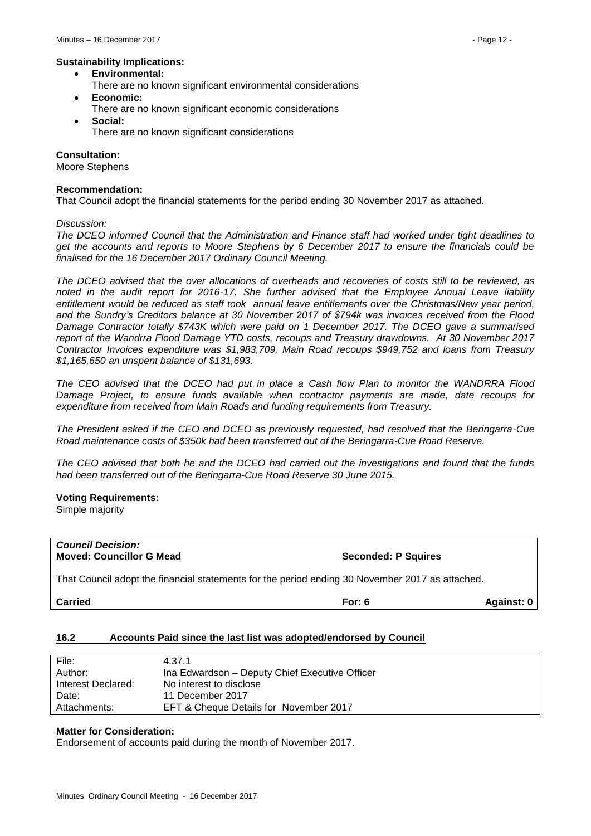#### **Sustainability Implications:**

- **Environmental:**
- There are no known significant environmental considerations **Economic:**
- There are no known significant economic considerations
- **Social:** There are no known significant considerations

# **Consultation:**

Moore Stephens

#### **Recommendation:**

That Council adopt the financial statements for the period ending 30 November 2017 as attached.

*Discussion:*

*The DCEO informed Council that the Administration and Finance staff had worked under tight deadlines to get the accounts and reports to Moore Stephens by 6 December 2017 to ensure the financials could be finalised for the 16 December 2017 Ordinary Council Meeting.* 

*The DCEO advised that the over allocations of overheads and recoveries of costs still to be reviewed, as noted in the audit report for 2016-17. She further advised that the Employee Annual Leave liability entitlement would be reduced as staff took annual leave entitlements over the Christmas/New year period, and the Sundry's Creditors balance at 30 November 2017 of \$794k was invoices received from the Flood Damage Contractor totally \$743K which were paid on 1 December 2017. The DCEO gave a summarised report of the Wandrra Flood Damage YTD costs, recoups and Treasury drawdowns. At 30 November 2017 Contractor Invoices expenditure was \$1,983,709, Main Road recoups \$949,752 and loans from Treasury \$1,165,650 an unspent balance of \$131,693.*

*The CEO advised that the DCEO had put in place a Cash flow Plan to monitor the WANDRRA Flood Damage Project, to ensure funds available when contractor payments are made, date recoups for expenditure from received from Main Roads and funding requirements from Treasury.*

*The President asked if the CEO and DCEO as previously requested, had resolved that the Beringarra-Cue Road maintenance costs of \$350k had been transferred out of the Beringarra-Cue Road Reserve.*

*The CEO advised that both he and the DCEO had carried out the investigations and found that the funds had been transferred out of the Beringarra-Cue Road Reserve 30 June 2015.*

#### **Voting Requirements:**

Simple majority

| <b>Council Decision:</b><br><b>Moved: Councillor G Mead</b>                                     | <b>Seconded: P Sauires</b> |
|-------------------------------------------------------------------------------------------------|----------------------------|
| That Council adopt the financial statements for the period ending 30 November 2017 as attached. |                            |

**Carried For: 6 Against: 0**

#### <span id="page-11-0"></span>**16.2 Accounts Paid since the last list was adopted/endorsed by Council**

| File:              | 4 37 1                                         |
|--------------------|------------------------------------------------|
| Author:            | Ina Edwardson - Deputy Chief Executive Officer |
| Interest Declared: | No interest to disclose                        |
| Date:              | 11 December 2017                               |
| Attachments:       | EFT & Cheque Details for November 2017         |

#### **Matter for Consideration:**

Endorsement of accounts paid during the month of November 2017.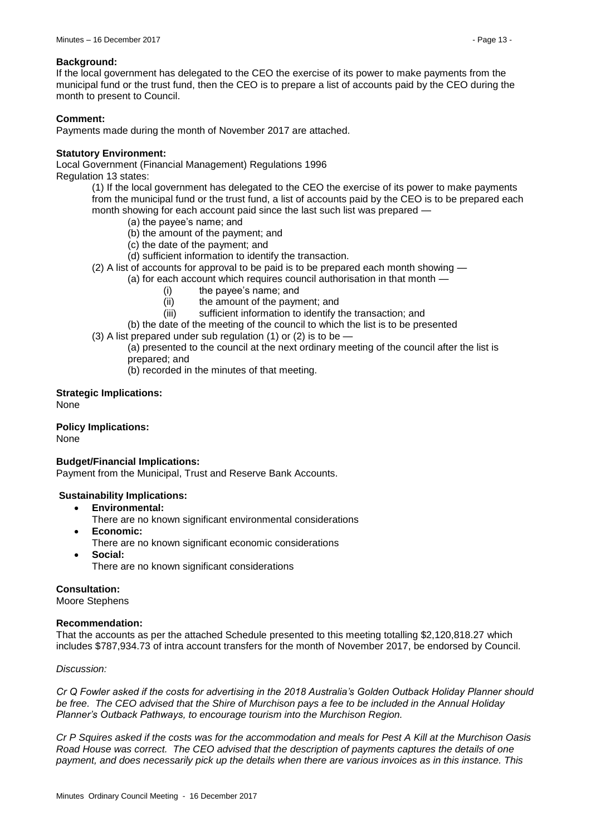### **Background:**

If the local government has delegated to the CEO the exercise of its power to make payments from the municipal fund or the trust fund, then the CEO is to prepare a list of accounts paid by the CEO during the month to present to Council.

# **Comment:**

Payments made during the month of November 2017 are attached.

### **Statutory Environment:**

Local Government (Financial Management) Regulations 1996 Regulation 13 states:

(1) If the local government has delegated to the CEO the exercise of its power to make payments from the municipal fund or the trust fund, a list of accounts paid by the CEO is to be prepared each month showing for each account paid since the last such list was prepared —

- (a) the payee's name; and
- (b) the amount of the payment; and
- (c) the date of the payment; and
- (d) sufficient information to identify the transaction.
- (2) A list of accounts for approval to be paid is to be prepared each month showing —

(a) for each account which requires council authorisation in that month —

- (i) the payee's name; and
- (ii) the amount of the payment; and
- (iii) sufficient information to identify the transaction; and
- (b) the date of the meeting of the council to which the list is to be presented
- (3) A list prepared under sub regulation (1) or (2) is to be  $-$

(a) presented to the council at the next ordinary meeting of the council after the list is prepared; and

(b) recorded in the minutes of that meeting.

**Strategic Implications:** None

**Policy Implications:** None

#### **Budget/Financial Implications:**

Payment from the Municipal, Trust and Reserve Bank Accounts.

# **Sustainability Implications:**

- **Environmental:**
	- There are no known significant environmental considerations
- **Economic:**
	- There are no known significant economic considerations
- **Social:**
	- There are no known significant considerations

**Consultation:**

Moore Stephens

#### **Recommendation:**

That the accounts as per the attached Schedule presented to this meeting totalling \$2,120,818.27 which includes \$787,934.73 of intra account transfers for the month of November 2017, be endorsed by Council.

#### *Discussion:*

*Cr Q Fowler asked if the costs for advertising in the 2018 Australia's Golden Outback Holiday Planner should be free. The CEO advised that the Shire of Murchison pays a fee to be included in the Annual Holiday Planner's Outback Pathways, to encourage tourism into the Murchison Region.* 

*Cr P Squires asked if the costs was for the accommodation and meals for Pest A Kill at the Murchison Oasis Road House was correct. The CEO advised that the description of payments captures the details of one payment, and does necessarily pick up the details when there are various invoices as in this instance. This*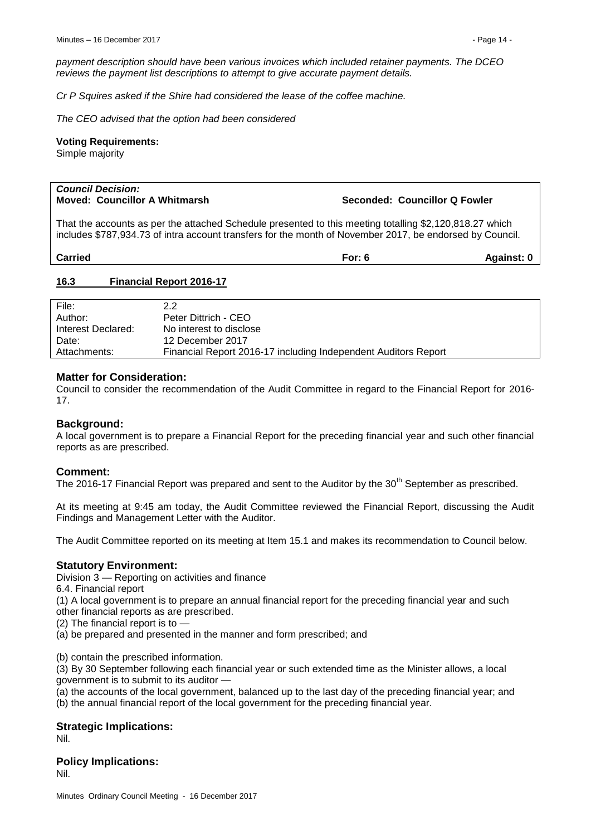*payment description should have been various invoices which included retainer payments. The DCEO reviews the payment list descriptions to attempt to give accurate payment details.*

*Cr P Squires asked if the Shire had considered the lease of the coffee machine.*

*The CEO advised that the option had been considered*

#### **Voting Requirements:**

Simple majority

# *Council Decision:*

#### **Moved: Councillor A Whitmarsh <b>Seconded: Councillor Q Fowler** Seconded: Councillor Q Fowler

That the accounts as per the attached Schedule presented to this meeting totalling \$2,120,818.27 which includes \$787,934.73 of intra account transfers for the month of November 2017, be endorsed by Council.

| <b>Carried</b><br>For: | Against: 0 |
|------------------------|------------|
|------------------------|------------|

#### <span id="page-13-0"></span>**16.3 Financial Report 2016-17**

| File:              | 2.2                                                            |
|--------------------|----------------------------------------------------------------|
| Author:            | Peter Dittrich - CEO                                           |
| Interest Declared: | No interest to disclose                                        |
| Date:              | 12 December 2017                                               |
| Attachments:       | Financial Report 2016-17 including Independent Auditors Report |

### **Matter for Consideration:**

Council to consider the recommendation of the Audit Committee in regard to the Financial Report for 2016- 17.

# **Background:**

A local government is to prepare a Financial Report for the preceding financial year and such other financial reports as are prescribed.

#### **Comment:**

The 2016-17 Financial Report was prepared and sent to the Auditor by the 30<sup>th</sup> September as prescribed.

At its meeting at 9:45 am today, the Audit Committee reviewed the Financial Report, discussing the Audit Findings and Management Letter with the Auditor.

The Audit Committee reported on its meeting at Item 15.1 and makes its recommendation to Council below.

#### **Statutory Environment:**

Division 3 — Reporting on activities and finance

6.4. Financial report

(1) A local government is to prepare an annual financial report for the preceding financial year and such other financial reports as are prescribed.

(2) The financial report is to —

(a) be prepared and presented in the manner and form prescribed; and

(b) contain the prescribed information.

(3) By 30 September following each financial year or such extended time as the Minister allows, a local government is to submit to its auditor —

(a) the accounts of the local government, balanced up to the last day of the preceding financial year; and (b) the annual financial report of the local government for the preceding financial year.

# **Strategic Implications:**

Nil.

#### **Policy Implications:** Nil.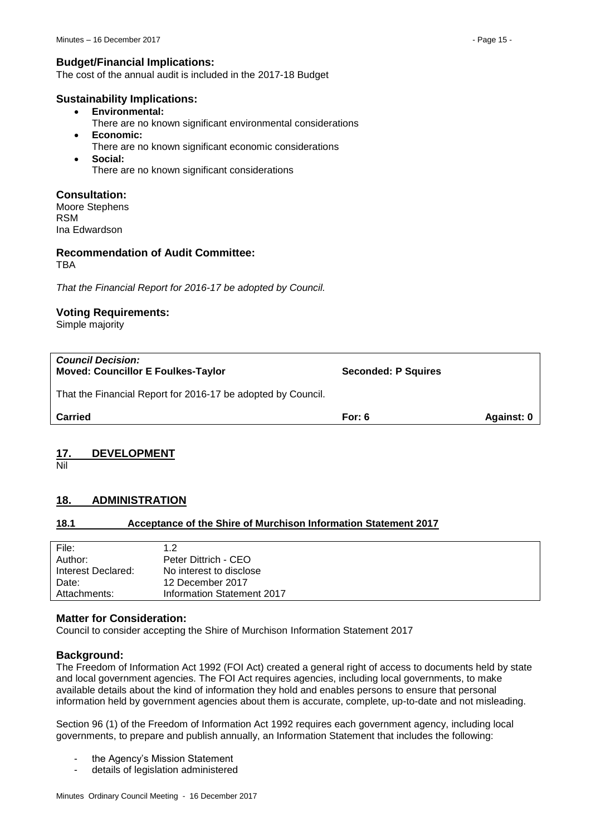# **Budget/Financial Implications:**

The cost of the annual audit is included in the 2017-18 Budget

### **Sustainability Implications:**

- **Environmental:**
	- There are no known significant environmental considerations
- **Economic:**
	- There are no known significant economic considerations
	- **Social:** There are no known significant considerations

# **Consultation:**

Moore Stephens RSM Ina Edwardson

#### **Recommendation of Audit Committee:** TBA

*That the Financial Report for 2016-17 be adopted by Council.*

# **Voting Requirements:**

Simple majority

| <b>Council Decision:</b><br><b>Moved: Councillor E Foulkes-Taylor</b><br>That the Financial Report for 2016-17 be adopted by Council. | <b>Seconded: P Squires</b> |            |
|---------------------------------------------------------------------------------------------------------------------------------------|----------------------------|------------|
| <b>Carried</b>                                                                                                                        | For: $6$                   | Against: 0 |

# <span id="page-14-0"></span>**17. DEVELOPMENT**

Nil

# <span id="page-14-1"></span>**18. ADMINISTRATION**

# <span id="page-14-2"></span>**18.1 Acceptance of the Shire of Murchison Information Statement 2017**

| File:<br>Author:   | 1.2<br>Peter Dittrich - CEO |
|--------------------|-----------------------------|
| Interest Declared: | No interest to disclose     |
| Date:              | 12 December 2017            |
| Attachments:       | Information Statement 2017  |

# **Matter for Consideration:**

Council to consider accepting the Shire of Murchison Information Statement 2017

# **Background:**

The Freedom of Information Act 1992 (FOI Act) created a general right of access to documents held by state and local government agencies. The FOI Act requires agencies, including local governments, to make available details about the kind of information they hold and enables persons to ensure that personal information held by government agencies about them is accurate, complete, up-to-date and not misleading.

Section 96 (1) of the Freedom of Information Act 1992 requires each government agency, including local governments, to prepare and publish annually, an Information Statement that includes the following:

- the Agency's Mission Statement
- details of legislation administered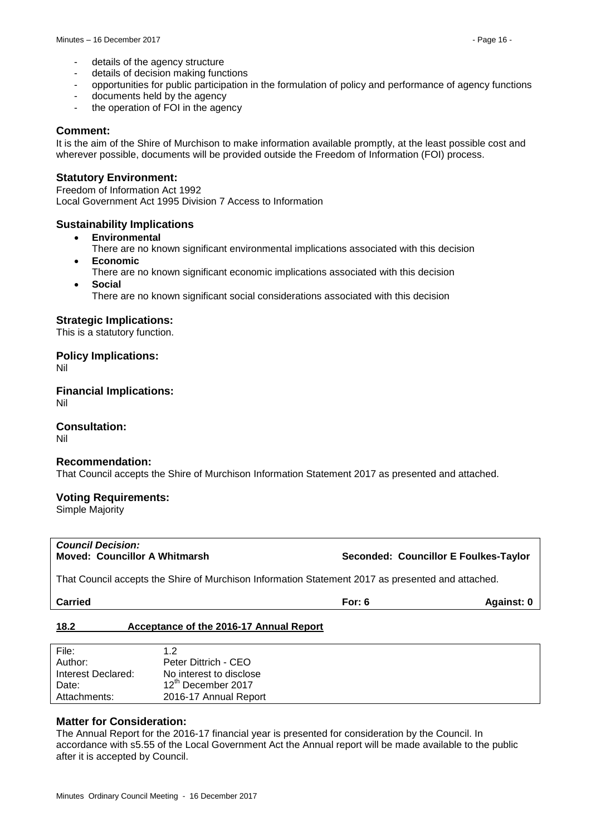- details of the agency structure
- details of decision making functions
- opportunities for public participation in the formulation of policy and performance of agency functions
- documents held by the agency
- the operation of FOI in the agency

#### **Comment:**

It is the aim of the Shire of Murchison to make information available promptly, at the least possible cost and wherever possible, documents will be provided outside the Freedom of Information (FOI) process.

### **Statutory Environment:**

Freedom of Information Act 1992 Local Government Act 1995 Division 7 Access to Information

### **Sustainability Implications**

- **Environmental**
	- There are no known significant environmental implications associated with this decision **Economic**
	- There are no known significant economic implications associated with this decision
- **Social**
	- There are no known significant social considerations associated with this decision

### **Strategic Implications:**

This is a statutory function.

### **Policy Implications:**

Nil

**Financial Implications:** Nil

#### **Consultation:**

Nil

#### **Recommendation:**

That Council accepts the Shire of Murchison Information Statement 2017 as presented and attached.

# **Voting Requirements:**

Simple Majority

That Council accepts the Shire of Murchison Information Statement 2017 as presented and attached.

| <b>Carried</b> | For: 6 | Against: 0 |
|----------------|--------|------------|
|                |        |            |

# <span id="page-15-0"></span>**18.2 Acceptance of the 2016-17 Annual Report**

| File:              | 1.2                            |
|--------------------|--------------------------------|
| Author:            | Peter Dittrich - CEO           |
| Interest Declared: | No interest to disclose        |
| Date:              | 12 <sup>th</sup> December 2017 |
| Attachments:       | 2016-17 Annual Report          |
|                    |                                |

#### **Matter for Consideration:**

The Annual Report for the 2016-17 financial year is presented for consideration by the Council. In accordance with s5.55 of the Local Government Act the Annual report will be made available to the public after it is accepted by Council.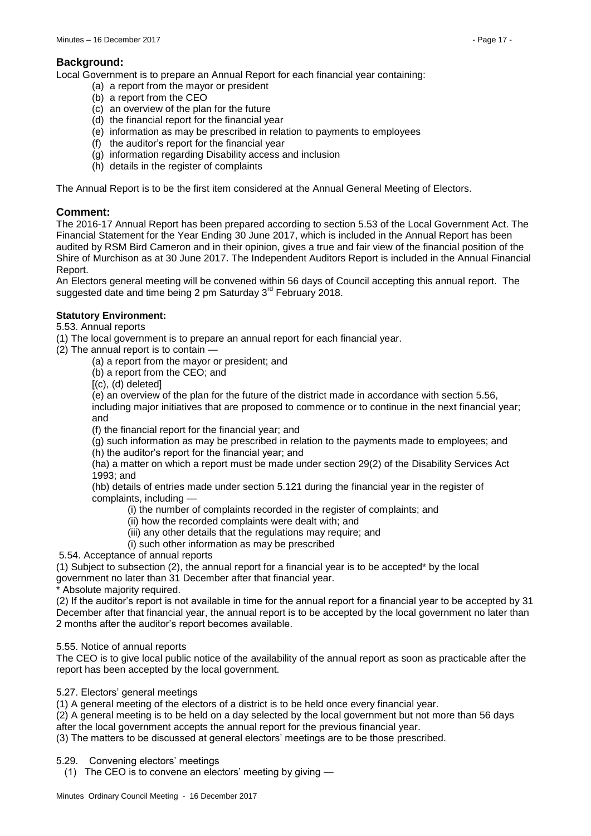# **Background:**

Local Government is to prepare an Annual Report for each financial year containing:

- (a) a report from the mayor or president
- (b) a report from the CEO
- (c) an overview of the plan for the future
- (d) the financial report for the financial year
- (e) information as may be prescribed in relation to payments to employees
- (f) the auditor's report for the financial year
- (g) information regarding Disability access and inclusion
- (h) details in the register of complaints

The Annual Report is to be the first item considered at the Annual General Meeting of Electors.

# **Comment:**

The 2016-17 Annual Report has been prepared according to section 5.53 of the Local Government Act. The Financial Statement for the Year Ending 30 June 2017, which is included in the Annual Report has been audited by RSM Bird Cameron and in their opinion, gives a true and fair view of the financial position of the Shire of Murchison as at 30 June 2017. The Independent Auditors Report is included in the Annual Financial Report.

An Electors general meeting will be convened within 56 days of Council accepting this annual report. The suggested date and time being 2 pm Saturday 3<sup>rd</sup> February 2018.

# **Statutory Environment:**

5.53. Annual reports

(1) The local government is to prepare an annual report for each financial year.

(2) The annual report is to contain —

(a) a report from the mayor or president; and

(b) a report from the CEO; and

 $[(c), (d)$  deleted]

(e) an overview of the plan for the future of the district made in accordance with section 5.56, including major initiatives that are proposed to commence or to continue in the next financial year; and

(f) the financial report for the financial year; and

(g) such information as may be prescribed in relation to the payments made to employees; and (h) the auditor's report for the financial year; and

(ha) a matter on which a report must be made under section 29(2) of the Disability Services Act 1993; and

(hb) details of entries made under section 5.121 during the financial year in the register of complaints, including —

- (i) the number of complaints recorded in the register of complaints; and
- (ii) how the recorded complaints were dealt with; and
- (iii) any other details that the regulations may require; and

(i) such other information as may be prescribed

5.54. Acceptance of annual reports

(1) Subject to subsection (2), the annual report for a financial year is to be accepted\* by the local government no later than 31 December after that financial year.

Absolute majority required.

(2) If the auditor's report is not available in time for the annual report for a financial year to be accepted by 31 December after that financial year, the annual report is to be accepted by the local government no later than 2 months after the auditor's report becomes available.

#### 5.55. Notice of annual reports

The CEO is to give local public notice of the availability of the annual report as soon as practicable after the report has been accepted by the local government.

5.27. Electors' general meetings

(1) A general meeting of the electors of a district is to be held once every financial year.

(2) A general meeting is to be held on a day selected by the local government but not more than 56 days after the local government accepts the annual report for the previous financial year.

(3) The matters to be discussed at general electors' meetings are to be those prescribed.

5.29. Convening electors' meetings

(1) The CEO is to convene an electors' meeting by giving —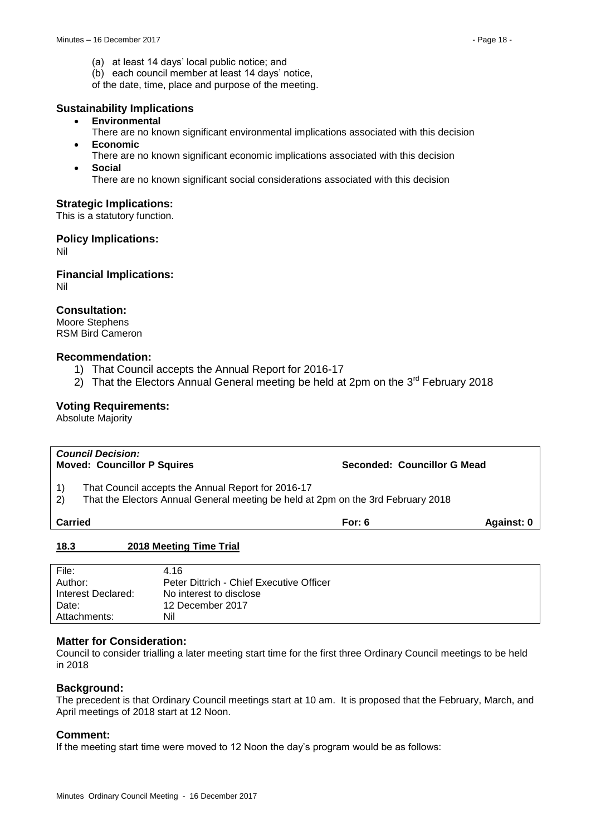- (a) at least 14 days' local public notice; and
- (b) each council member at least 14 days' notice,

of the date, time, place and purpose of the meeting.

### **Sustainability Implications**

- **Environmental**
	- There are no known significant environmental implications associated with this decision
- **Economic**
- There are no known significant economic implications associated with this decision
- **Social**

There are no known significant social considerations associated with this decision

# **Strategic Implications:**

This is a statutory function.

### **Policy Implications:**

Nil

**Financial Implications:** Nil

# **Consultation:**

Moore Stephens RSM Bird Cameron

### **Recommendation:**

- 1) That Council accepts the Annual Report for 2016-17
- 2) That the Electors Annual General meeting be held at 2pm on the  $3<sup>rd</sup>$  February 2018

# **Voting Requirements:**

Absolute Majority

|                                                      | <b>Council Decision:</b><br><b>Moved: Councillor P Squires</b><br>Seconded: Councillor G Mead                                          |          |            |  |  |
|------------------------------------------------------|----------------------------------------------------------------------------------------------------------------------------------------|----------|------------|--|--|
| $\left( \begin{matrix} 1 \end{matrix} \right)$<br>2) | That Council accepts the Annual Report for 2016-17<br>That the Electors Annual General meeting be held at 2pm on the 3rd February 2018 |          |            |  |  |
| <b>Carried</b>                                       |                                                                                                                                        | For: $6$ | Against: 0 |  |  |
| 18.3                                                 | 2018 Meeting Time Trial                                                                                                                |          |            |  |  |

<span id="page-17-0"></span>

| File:              | 4.16                                     |
|--------------------|------------------------------------------|
| Author:            | Peter Dittrich - Chief Executive Officer |
| Interest Declared: | No interest to disclose                  |
| Date:              | 12 December 2017                         |
| Attachments:       | Nil                                      |

#### **Matter for Consideration:**

Council to consider trialling a later meeting start time for the first three Ordinary Council meetings to be held in 2018

# **Background:**

The precedent is that Ordinary Council meetings start at 10 am. It is proposed that the February, March, and April meetings of 2018 start at 12 Noon.

#### **Comment:**

If the meeting start time were moved to 12 Noon the day's program would be as follows: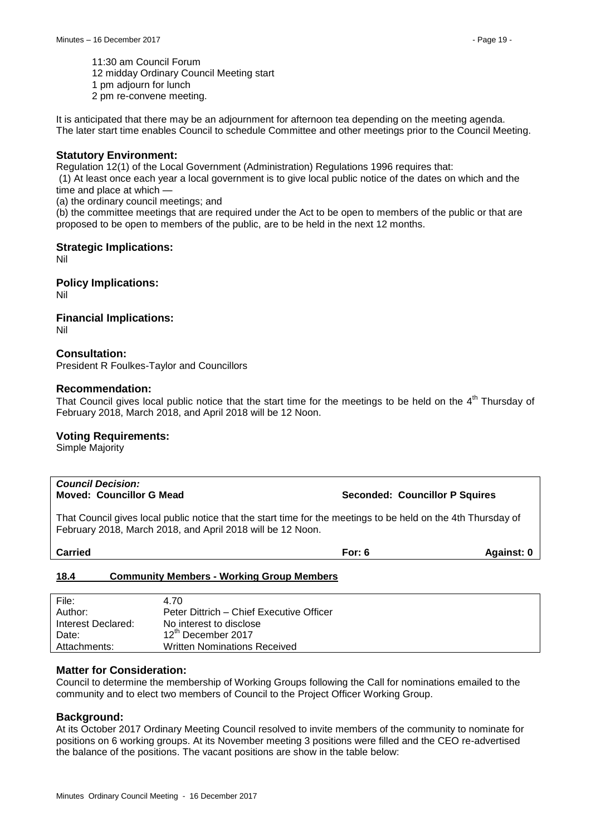11:30 am Council Forum

12 midday Ordinary Council Meeting start

1 pm adjourn for lunch

2 pm re-convene meeting.

It is anticipated that there may be an adjournment for afternoon tea depending on the meeting agenda. The later start time enables Council to schedule Committee and other meetings prior to the Council Meeting.

### **Statutory Environment:**

Regulation 12(1) of the Local Government (Administration) Regulations 1996 requires that:

(1) At least once each year a local government is to give local public notice of the dates on which and the time and place at which —

(a) the ordinary council meetings; and

(b) the committee meetings that are required under the Act to be open to members of the public or that are proposed to be open to members of the public, are to be held in the next 12 months.

### **Strategic Implications:**

Nil

**Policy Implications:**

Nil

# **Financial Implications:**

Nil

# **Consultation:**

President R Foulkes-Taylor and Councillors

#### **Recommendation:**

That Council gives local public notice that the start time for the meetings to be held on the  $4<sup>th</sup>$  Thursday of February 2018, March 2018, and April 2018 will be 12 Noon.

#### **Voting Requirements:**

Simple Majority

# *Council Decision:*

**Moved: Councillor G Mead Seconded: Councillor P Squires**

That Council gives local public notice that the start time for the meetings to be held on the 4th Thursday of February 2018, March 2018, and April 2018 will be 12 Noon.

| <b>Carried</b> | Against: 0<br>For: 6 |
|----------------|----------------------|
|----------------|----------------------|

#### <span id="page-18-0"></span>**18.4 Community Members - Working Group Members**

| File:              | 4.70                                     |
|--------------------|------------------------------------------|
| Author:            | Peter Dittrich – Chief Executive Officer |
| Interest Declared: | No interest to disclose                  |
| Date:              | 12 <sup>th</sup> December 2017           |
| Attachments:       | <b>Written Nominations Received</b>      |

# **Matter for Consideration:**

Council to determine the membership of Working Groups following the Call for nominations emailed to the community and to elect two members of Council to the Project Officer Working Group.

#### **Background:**

At its October 2017 Ordinary Meeting Council resolved to invite members of the community to nominate for positions on 6 working groups. At its November meeting 3 positions were filled and the CEO re-advertised the balance of the positions. The vacant positions are show in the table below: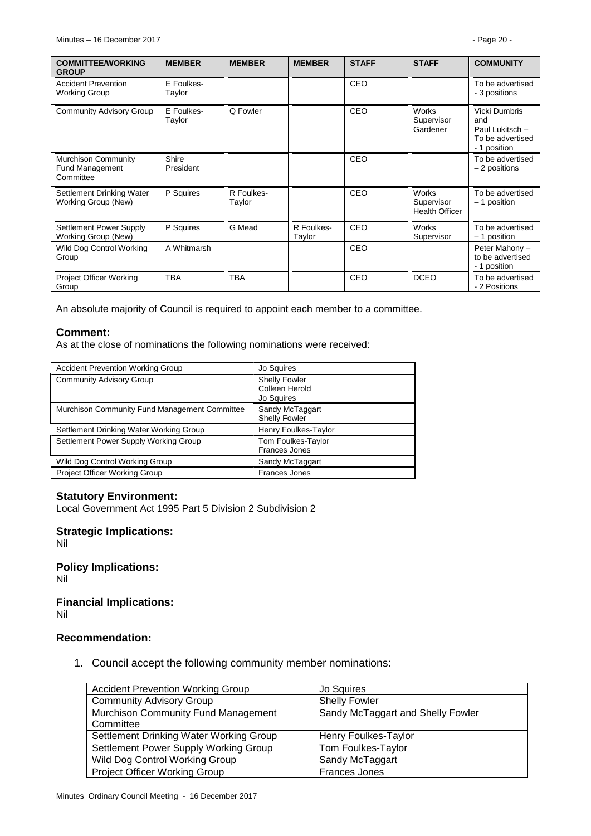| <b>COMMITTEE/WORKING</b><br><b>GROUP</b>                          | <b>MEMBER</b>        | <b>MEMBER</b>        | <b>MEMBER</b>        | <b>STAFF</b> | <b>STAFF</b>                                        | <b>COMMUNITY</b>                                                            |
|-------------------------------------------------------------------|----------------------|----------------------|----------------------|--------------|-----------------------------------------------------|-----------------------------------------------------------------------------|
| <b>Accident Prevention</b><br><b>Working Group</b>                | E Foulkes-<br>Taylor |                      |                      | CEO          |                                                     | To be advertised<br>- 3 positions                                           |
| <b>Community Advisory Group</b>                                   | E Foulkes-<br>Taylor | Q Fowler             |                      | CEO          | Works<br>Supervisor<br>Gardener                     | Vicki Dumbris<br>and<br>Paul Lukitsch -<br>To be advertised<br>- 1 position |
| <b>Murchison Community</b><br><b>Fund Management</b><br>Committee | Shire<br>President   |                      |                      | CEO          |                                                     | To be advertised<br>- 2 positions                                           |
| Settlement Drinking Water<br>Working Group (New)                  | P Squires            | R Foulkes-<br>Taylor |                      | CEO          | <b>Works</b><br>Supervisor<br><b>Health Officer</b> | To be advertised<br>$-1$ position                                           |
| Settlement Power Supply<br>Working Group (New)                    | P Squires            | G Mead               | R Foulkes-<br>Taylor | CEO          | <b>Works</b><br>Supervisor                          | To be advertised<br>- 1 position                                            |
| Wild Dog Control Working<br>Group                                 | A Whitmarsh          |                      |                      | CEO          |                                                     | Peter Mahony -<br>to be advertised<br>- 1 position                          |
| Project Officer Working<br>Group                                  | <b>TBA</b>           | <b>TBA</b>           |                      | CEO          | <b>DCEO</b>                                         | To be advertised<br>- 2 Positions                                           |

An absolute majority of Council is required to appoint each member to a committee.

### **Comment:**

As at the close of nominations the following nominations were received:

| <b>Accident Prevention Working Group</b>      | Jo Squires                                           |
|-----------------------------------------------|------------------------------------------------------|
| <b>Community Advisory Group</b>               | <b>Shelly Fowler</b><br>Colleen Herold<br>Jo Squires |
| Murchison Community Fund Management Committee | Sandy McTaggart<br><b>Shelly Fowler</b>              |
| Settlement Drinking Water Working Group       | Henry Foulkes-Taylor                                 |
| Settlement Power Supply Working Group         | Tom Foulkes-Taylor<br><b>Frances Jones</b>           |
| Wild Dog Control Working Group                | Sandy McTaggart                                      |
| Project Officer Working Group                 | <b>Frances Jones</b>                                 |

# **Statutory Environment:**

Local Government Act 1995 Part 5 Division 2 Subdivision 2

# **Strategic Implications:**

Nil

**Policy Implications:** Nil

#### **Financial Implications:** Nil

# **Recommendation:**

1. Council accept the following community member nominations:

| <b>Accident Prevention Working Group</b> | Jo Squires                        |
|------------------------------------------|-----------------------------------|
| <b>Community Advisory Group</b>          | <b>Shelly Fowler</b>              |
| Murchison Community Fund Management      | Sandy McTaggart and Shelly Fowler |
| Committee                                |                                   |
| Settlement Drinking Water Working Group  | Henry Foulkes-Taylor              |
| Settlement Power Supply Working Group    | Tom Foulkes-Taylor                |
| Wild Dog Control Working Group           | Sandy McTaggart                   |
| <b>Project Officer Working Group</b>     | Frances Jones                     |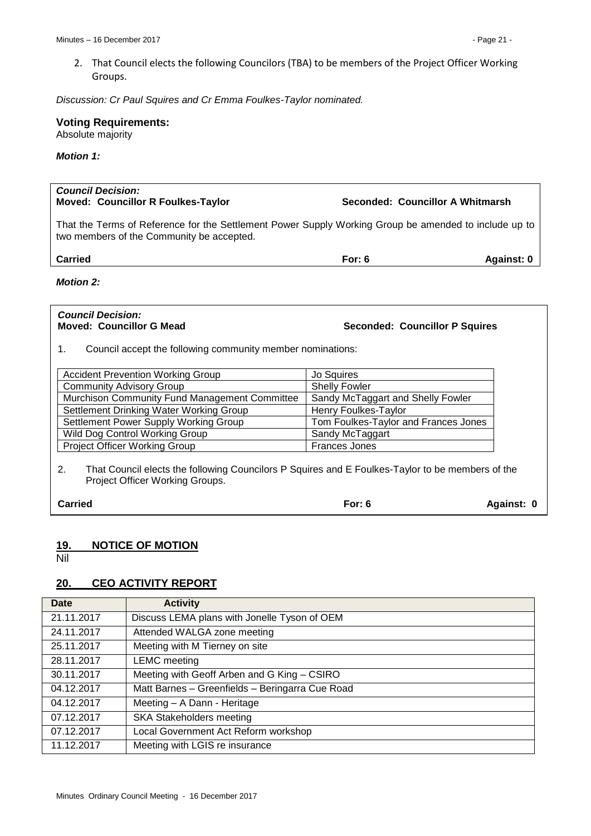2. That Council elects the following Councilors (TBA) to be members of the Project Officer Working Groups.

*Discussion: Cr Paul Squires and Cr Emma Foulkes-Taylor nominated.*

# **Voting Requirements:**

Absolute majority

#### *Motion 1:*

| <b>Council Decision:</b><br><b>Moved: Councillor R Foulkes-Taylor</b><br>Seconded: Councillor A Whitmarsh                                          |          |            |  |
|----------------------------------------------------------------------------------------------------------------------------------------------------|----------|------------|--|
| That the Terms of Reference for the Settlement Power Supply Working Group be amended to include up to<br>two members of the Community be accepted. |          |            |  |
| <b>Carried</b>                                                                                                                                     | For: $6$ | Against: 0 |  |
| <b>Motion 2:</b>                                                                                                                                   |          |            |  |
|                                                                                                                                                    |          |            |  |

# *Council Decision:*

**Moved: Councillor G Mead Seconded: Councillor P Squires**

1. Council accept the following community member nominations:

| <b>Accident Prevention Working Group</b>      | Jo Squires                           |
|-----------------------------------------------|--------------------------------------|
| <b>Community Advisory Group</b>               | <b>Shelly Fowler</b>                 |
| Murchison Community Fund Management Committee | Sandy McTaggart and Shelly Fowler    |
| Settlement Drinking Water Working Group       | Henry Foulkes-Taylor                 |
| Settlement Power Supply Working Group         | Tom Foulkes-Taylor and Frances Jones |
| Wild Dog Control Working Group                | Sandy McTaggart                      |
| Project Officer Working Group                 | <b>Frances Jones</b>                 |

2. That Council elects the following Councilors P Squires and E Foulkes-Taylor to be members of the Project Officer Working Groups.

| <b>Carried</b> | For: $6$ | Against: 0 |
|----------------|----------|------------|
|----------------|----------|------------|

# <span id="page-20-0"></span>**19. NOTICE OF MOTION**

<span id="page-20-1"></span>Nil

# <span id="page-20-2"></span>**20. CEO ACTIVITY REPORT**

| <b>Date</b> | <b>Activity</b>                                 |
|-------------|-------------------------------------------------|
| 21.11.2017  | Discuss LEMA plans with Jonelle Tyson of OEM    |
| 24.11.2017  | Attended WALGA zone meeting                     |
| 25.11.2017  | Meeting with M Tierney on site                  |
| 28.11.2017  | <b>LEMC</b> meeting                             |
| 30.11.2017  | Meeting with Geoff Arben and G King - CSIRO     |
| 04.12.2017  | Matt Barnes - Greenfields - Beringarra Cue Road |
| 04.12.2017  | Meeting - A Dann - Heritage                     |
| 07.12.2017  | <b>SKA Stakeholders meeting</b>                 |
| 07.12.2017  | Local Government Act Reform workshop            |
| 11.12.2017  | Meeting with LGIS re insurance                  |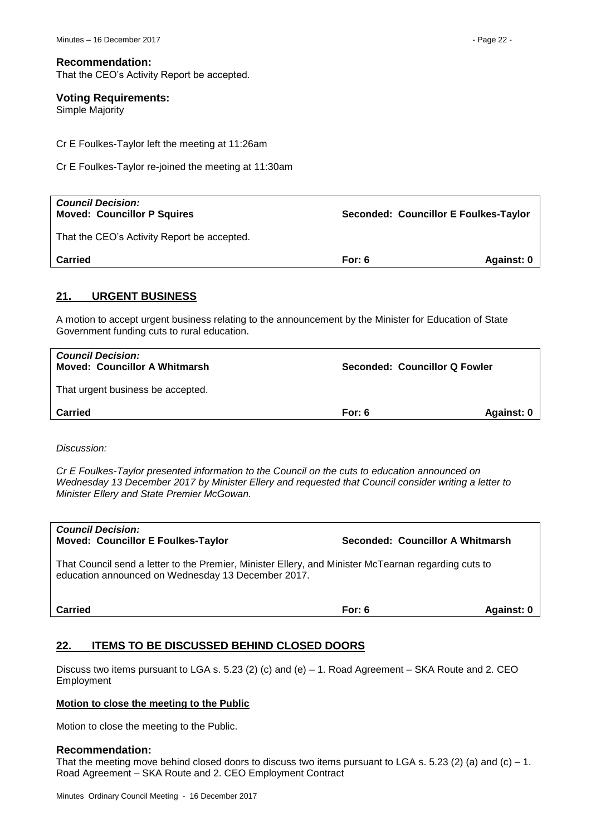That the CEO's Activity Report be accepted.

# **Voting Requirements:**

Simple Majority

Cr E Foulkes-Taylor left the meeting at 11:26am

Cr E Foulkes-Taylor re-joined the meeting at 11:30am

| <b>Council Decision:</b><br><b>Moved: Councillor P Squires</b> | Seconded: Councillor E Foulkes-Taylor |            |  |
|----------------------------------------------------------------|---------------------------------------|------------|--|
| That the CEO's Activity Report be accepted.                    |                                       |            |  |
| <b>Carried</b>                                                 | For: $6$                              | Against: 0 |  |

# <span id="page-21-0"></span>**21. URGENT BUSINESS**

A motion to accept urgent business relating to the announcement by the Minister for Education of State Government funding cuts to rural education.

| <b>Council Decision:</b><br><b>Moved: Councillor A Whitmarsh</b> |        | Seconded: Councillor Q Fowler |  |  |
|------------------------------------------------------------------|--------|-------------------------------|--|--|
| That urgent business be accepted.                                |        |                               |  |  |
| <b>Carried</b>                                                   | For: 6 | Against: 0                    |  |  |
|                                                                  |        |                               |  |  |

*Discussion:*

*Cr E Foulkes-Taylor presented information to the Council on the cuts to education announced on Wednesday 13 December 2017 by Minister Ellery and requested that Council consider writing a letter to Minister Ellery and State Premier McGowan.*

| <b>Council Decision:</b><br><b>Moved: Councillor E Foulkes-Taylor</b>                                                                                      | Seconded: Councillor A Whitmarsh |            |
|------------------------------------------------------------------------------------------------------------------------------------------------------------|----------------------------------|------------|
| That Council send a letter to the Premier, Minister Ellery, and Minister McTearnan regarding cuts to<br>education announced on Wednesday 13 December 2017. |                                  |            |
| Carried                                                                                                                                                    | For: $6$                         | Against: 0 |

# <span id="page-21-1"></span>**22. ITEMS TO BE DISCUSSED BEHIND CLOSED DOORS**

Discuss two items pursuant to LGA s. 5.23 (2) (c) and (e) – 1. Road Agreement – SKA Route and 2. CEO Employment

#### **Motion to close the meeting to the Public**

Motion to close the meeting to the Public.

#### **Recommendation:**

That the meeting move behind closed doors to discuss two items pursuant to LGA s. 5.23 (2) (a) and (c) – 1. Road Agreement – SKA Route and 2. CEO Employment Contract